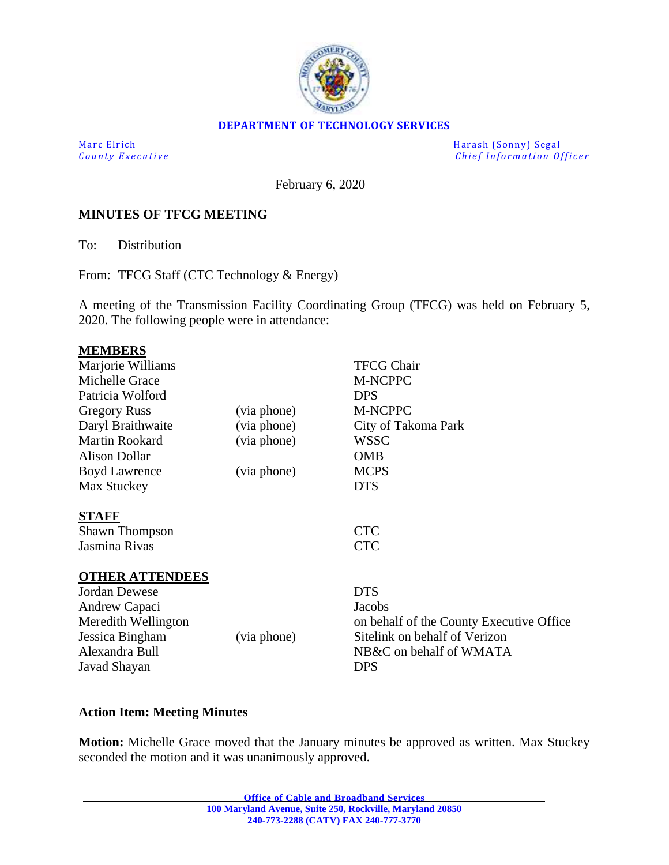

#### **DEPARTMENT OF TECHNOLOGY SERVICES**

Marc Elrich Harash (Sonny) Segal *County Executive* **Executive** *County Executive Chief Information Officer* 

February 6, 2020

#### **MINUTES OF TFCG MEETING**

To: Distribution

From: TFCG Staff (CTC Technology & Energy)

A meeting of the Transmission Facility Coordinating Group (TFCG) was held on February 5, 2020. The following people were in attendance:

| <b>MEMBERS</b>         |             |                                          |
|------------------------|-------------|------------------------------------------|
| Marjorie Williams      |             | <b>TFCG Chair</b>                        |
| Michelle Grace         |             | <b>M-NCPPC</b>                           |
| Patricia Wolford       |             | <b>DPS</b>                               |
| <b>Gregory Russ</b>    | (via phone) | M-NCPPC                                  |
| Daryl Braithwaite      | (via phone) | City of Takoma Park                      |
| <b>Martin Rookard</b>  | (via phone) | <b>WSSC</b>                              |
| <b>Alison Dollar</b>   |             | <b>OMB</b>                               |
| <b>Boyd Lawrence</b>   | (via phone) | <b>MCPS</b>                              |
| Max Stuckey            |             | <b>DTS</b>                               |
| <b>STAFF</b>           |             |                                          |
| <b>Shawn Thompson</b>  |             | <b>CTC</b>                               |
| Jasmina Rivas          |             | <b>CTC</b>                               |
| <b>OTHER ATTENDEES</b> |             |                                          |
| <b>Jordan Dewese</b>   |             | <b>DTS</b>                               |
| Andrew Capaci          |             | <b>Jacobs</b>                            |
| Meredith Wellington    |             | on behalf of the County Executive Office |
| Jessica Bingham        | (via phone) | Sitelink on behalf of Verizon            |
| Alexandra Bull         |             | NB&C on behalf of WMATA                  |
| Javad Shayan           |             | <b>DPS</b>                               |

#### **Action Item: Meeting Minutes**

**Motion:** Michelle Grace moved that the January minutes be approved as written. Max Stuckey seconded the motion and it was unanimously approved.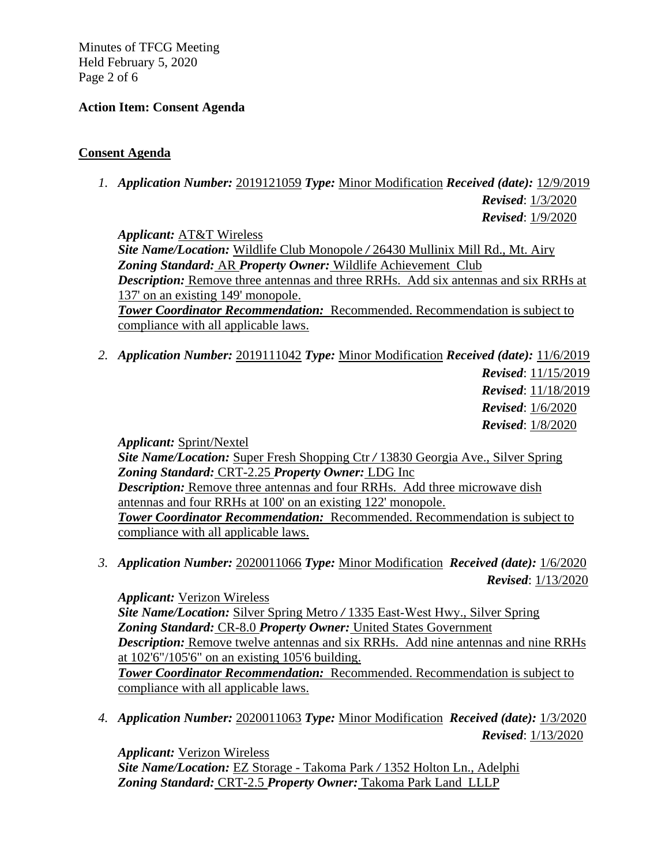Minutes of TFCG Meeting Held February 5, 2020 Page 2 of 6

## **Action Item: Consent Agenda**

## **Consent Agenda**

*1. Application Number:* 2019121059 *Type:* Minor Modification *Received (date):* 12/9/2019

*Revised*: 1/3/2020 *Revised*: 1/9/2020

*Applicant:* AT&T Wireless

*Site Name/Location:* Wildlife Club Monopole */* 26430 Mullinix Mill Rd., Mt. Airy *Zoning Standard:* AR *Property Owner:* Wildlife Achievement Club *Description:* Remove three antennas and three RRHs. Add six antennas and six RRHs at 137' on an existing 149' monopole. *Tower Coordinator Recommendation:* Recommended. Recommendation is subject to

compliance with all applicable laws.

*2. Application Number:* 2019111042 *Type:* Minor Modification *Received (date):* 11/6/2019

*Revised*: 11/15/2019 *Revised*: 11/18/2019 *Revised*: 1/6/2020 *Revised*: 1/8/2020

*Applicant:* Sprint/Nextel

*Site Name/Location:* Super Fresh Shopping Ctr */* 13830 Georgia Ave., Silver Spring *Zoning Standard:* CRT-2.25 *Property Owner:* LDG Inc *Description:* Remove three antennas and four RRHs. Add three microwave dish antennas and four RRHs at 100' on an existing 122' monopole. *Tower Coordinator Recommendation:* Recommended. Recommendation is subject to compliance with all applicable laws.

*3. Application Number:* 2020011066 *Type:* Minor Modification *Received (date):* 1/6/2020 *Revised*: 1/13/2020

*Applicant:* Verizon Wireless *Site Name/Location:* Silver Spring Metro */* 1335 East‐West Hwy., Silver Spring *Zoning Standard:* CR-8.0 *Property Owner:* United States Government *Description:* Remove twelve antennas and six RRHs. Add nine antennas and nine RRHs at 102'6"/105'6" on an existing 105'6 building. *Tower Coordinator Recommendation:* Recommended. Recommendation is subject to compliance with all applicable laws.

*4. Application Number:* 2020011063 *Type:* Minor Modification *Received (date):* 1/3/2020 *Revised*: 1/13/2020

*Applicant:* Verizon Wireless *Site Name/Location:* EZ Storage - Takoma Park */* 1352 Holton Ln., Adelphi *Zoning Standard:* CRT-2.5 *Property Owner:* Takoma Park Land LLLP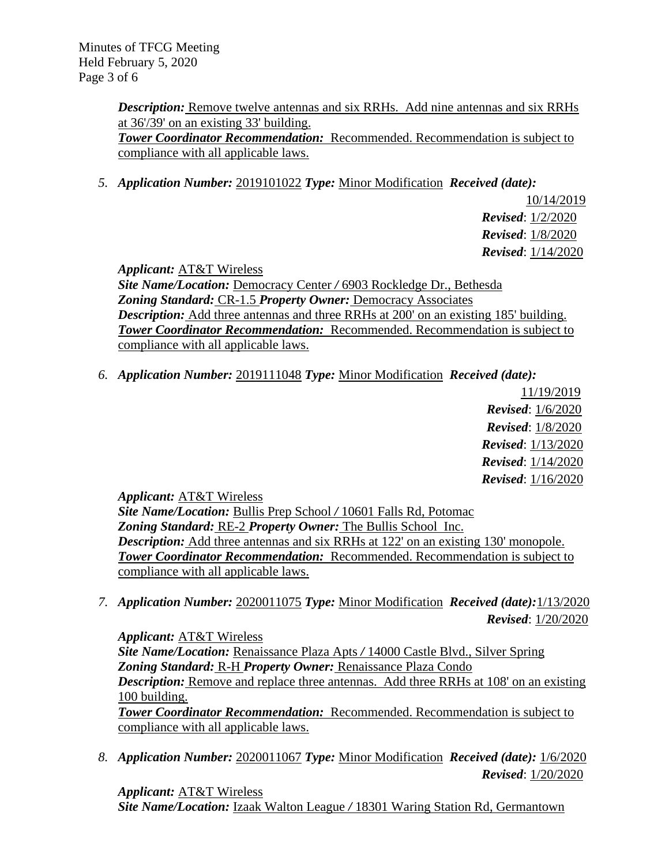*Description:* Remove twelve antennas and six RRHs. Add nine antennas and six RRHs at 36'/39' on an existing 33' building. *Tower Coordinator Recommendation:* Recommended. Recommendation is subject to compliance with all applicable laws.

*5. Application Number:* 2019101022 *Type:* Minor Modification *Received (date):* 

10/14/2019 *Revised*: 1/2/2020 *Revised*: 1/8/2020 *Revised*: 1/14/2020

*Applicant:* AT&T Wireless

*Site Name/Location:* Democracy Center */* 6903 Rockledge Dr., Bethesda *Zoning Standard:* CR-1.5 *Property Owner:* Democracy Associates *Description:* Add three antennas and three RRHs at 200' on an existing 185' building. *Tower Coordinator Recommendation:* Recommended. Recommendation is subject to compliance with all applicable laws.

*6. Application Number:* 2019111048 *Type:* Minor Modification *Received (date):*

11/19/2019 *Revised*: 1/6/2020 *Revised*: 1/8/2020 *Revised*: 1/13/2020 *Revised*: 1/14/2020 *Revised*: 1/16/2020

*Applicant:* AT&T Wireless

*Site Name/Location:* Bullis Prep School */* 10601 Falls Rd, Potomac *Zoning Standard:* RE-2 *Property Owner:* The Bullis School Inc. *Description:* Add three antennas and six RRHs at 122' on an existing 130' monopole. *Tower Coordinator Recommendation:* Recommended. Recommendation is subject to compliance with all applicable laws.

*7. Application Number:* 2020011075 *Type:* Minor Modification *Received (date):*1/13/2020 *Revised*: 1/20/2020

*Applicant:* AT&T Wireless *Site Name/Location:* Renaissance Plaza Apts */* 14000 Castle Blvd., Silver Spring *Zoning Standard:* R-H *Property Owner:* Renaissance Plaza Condo *Description:* Remove and replace three antennas. Add three RRHs at 108' on an existing 100 building. *Tower Coordinator Recommendation:* Recommended. Recommendation is subject to compliance with all applicable laws.

*8. Application Number:* 2020011067 *Type:* Minor Modification *Received (date):* 1/6/2020 *Revised*: 1/20/2020

*Applicant:* AT&T Wireless *Site Name/Location:* Izaak Walton League */* 18301 Waring Station Rd, Germantown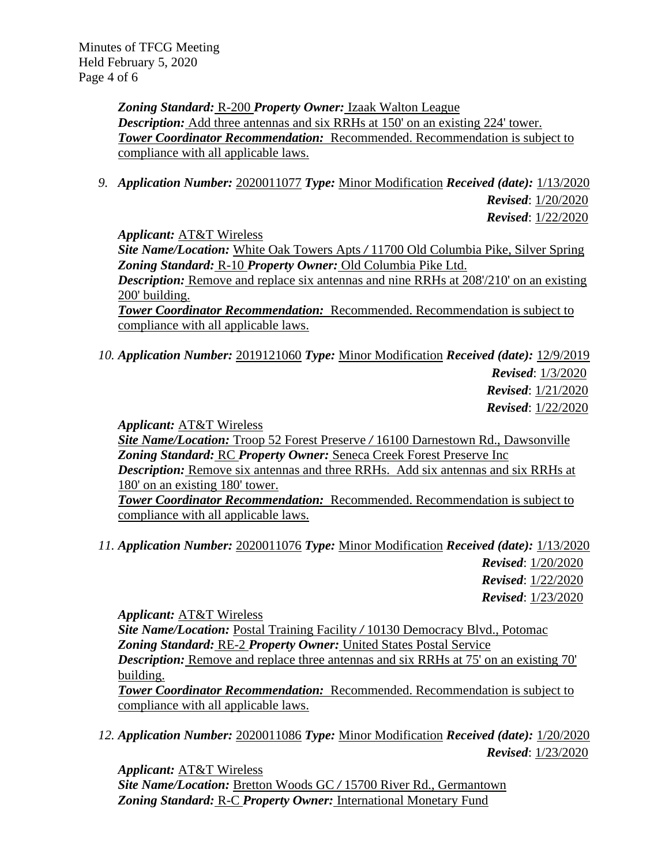*Zoning Standard:* R-200 *Property Owner:* Izaak Walton League *Description:* Add three antennas and six RRHs at 150' on an existing 224' tower. *Tower Coordinator Recommendation:* Recommended. Recommendation is subject to compliance with all applicable laws.

*9. Application Number:* 2020011077 *Type:* Minor Modification *Received (date):* 1/13/2020 *Revised*: 1/20/2020 *Revised*: 1/22/2020

*Applicant:* AT&T Wireless

*Site Name/Location:* White Oak Towers Apts */* 11700 Old Columbia Pike, Silver Spring *Zoning Standard:* R-10 *Property Owner:* Old Columbia Pike Ltd.

*Description:* Remove and replace six antennas and nine RRHs at 208/210' on an existing 200' building.

*Tower Coordinator Recommendation:* Recommended. Recommendation is subject to compliance with all applicable laws.

*10. Application Number:* 2019121060 *Type:* Minor Modification *Received (date):* 12/9/2019 *Revised*: 1/3/2020 *Revised*: 1/21/2020

*Revised*: 1/22/2020

*Applicant:* AT&T Wireless

*Site Name/Location:* Troop 52 Forest Preserve */* 16100 Darnestown Rd., Dawsonville *Zoning Standard:* RC *Property Owner:* Seneca Creek Forest Preserve Inc *Description:* Remove six antennas and three RRHs. Add six antennas and six RRHs at 180' on an existing 180' tower.

*Tower Coordinator Recommendation:* Recommended. Recommendation is subject to compliance with all applicable laws.

*11. Application Number:* 2020011076 *Type:* Minor Modification *Received (date):* 1/13/2020 *Revised*: 1/20/2020 *Revised*: 1/22/2020

*Revised*: 1/23/2020

*Applicant:* AT&T Wireless

*Site Name/Location:* Postal Training Facility */* 10130 Democracy Blvd., Potomac *Zoning Standard:* RE-2 *Property Owner:* United States Postal Service *Description:* Remove and replace three antennas and six RRHs at 75' on an existing 70' building.

*Tower Coordinator Recommendation:* Recommended. Recommendation is subject to compliance with all applicable laws.

*12. Application Number:* 2020011086 *Type:* Minor Modification *Received (date):* 1/20/2020 *Revised*: 1/23/2020

*Applicant:* AT&T Wireless *Site Name/Location:* Bretton Woods GC */* 15700 River Rd., Germantown *Zoning Standard:* R-C *Property Owner:* International Monetary Fund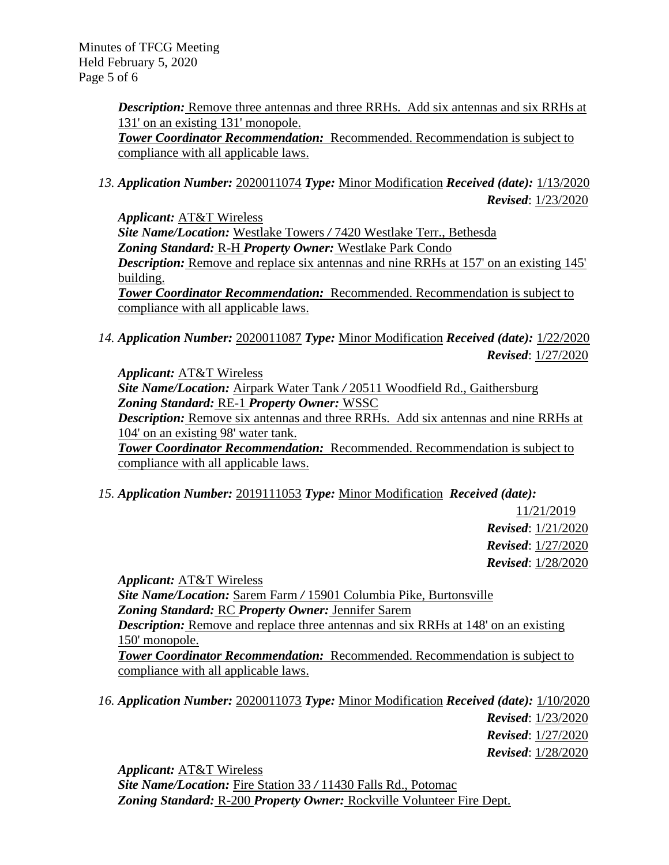Minutes of TFCG Meeting Held February 5, 2020 Page 5 of 6

> **Description:** Remove three antennas and three RRHs. Add six antennas and six RRHs at 131' on an existing 131' monopole. *Tower Coordinator Recommendation:* Recommended. Recommendation is subject to compliance with all applicable laws.

*13. Application Number:* 2020011074 *Type:* Minor Modification *Received (date):* 1/13/2020 *Revised*: 1/23/2020

*Applicant:* AT&T Wireless *Site Name/Location:* Westlake Towers */* 7420 Westlake Terr., Bethesda *Zoning Standard:* R-H *Property Owner:* Westlake Park Condo **Description:** Remove and replace six antennas and nine RRHs at 157' on an existing 145' building. *Tower Coordinator Recommendation:* Recommended. Recommendation is subject to compliance with all applicable laws.

*14. Application Number:* 2020011087 *Type:* Minor Modification *Received (date):* 1/22/2020 *Revised*: 1/27/2020

*Applicant:* AT&T Wireless

*Site Name/Location:* Airpark Water Tank */* 20511 Woodfield Rd., Gaithersburg *Zoning Standard:* RE-1 *Property Owner:* WSSC

*Description:* Remove six antennas and three RRHs. Add six antennas and nine RRHs at 104' on an existing 98' water tank.

*Tower Coordinator Recommendation:* Recommended. Recommendation is subject to compliance with all applicable laws.

*15. Application Number:* 2019111053 *Type:* Minor Modification *Received (date):* 

11/21/2019 *Revised*: 1/21/2020 *Revised*: 1/27/2020 *Revised*: 1/28/2020

*Applicant:* AT&T Wireless *Site Name/Location:* Sarem Farm */* 15901 Columbia Pike, Burtonsville *Zoning Standard:* RC *Property Owner:* Jennifer Sarem *Description:* Remove and replace three antennas and six RRHs at 148' on an existing 150' monopole. *Tower Coordinator Recommendation:* Recommended. Recommendation is subject to compliance with all applicable laws.

*16. Application Number:* 2020011073 *Type:* Minor Modification *Received (date):* 1/10/2020 *Revised*: 1/23/2020 *Revised*: 1/27/2020

*Revised*: 1/28/2020

*Applicant:* AT&T Wireless *Site Name/Location:* Fire Station 33 */* 11430 Falls Rd., Potomac *Zoning Standard:* R-200 *Property Owner:* Rockville Volunteer Fire Dept.